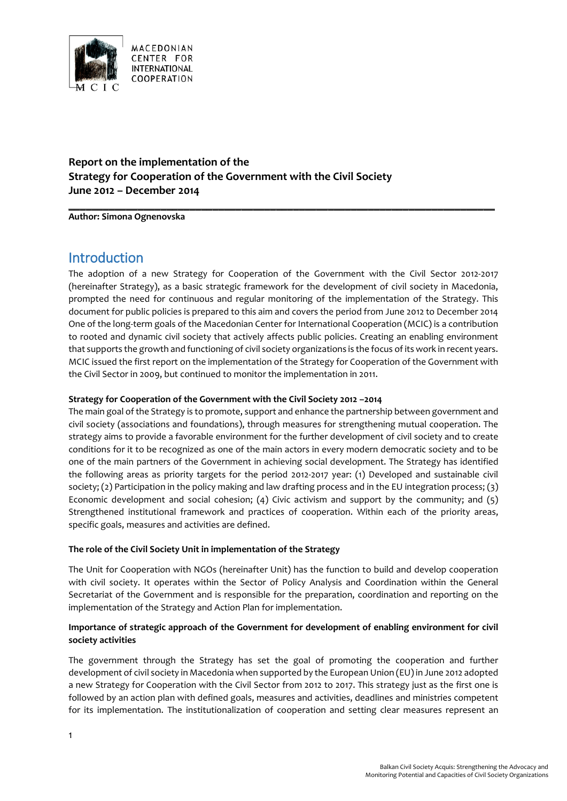

## **Report on the implementation of the Strategy for Cooperation of the Government with the Civil Society June 2012 – December 2014**

**Author: Simona Ognenovska**

## **Introduction**

The adoption of a new Strategy for Cooperation of the Government with the Civil Sector 2012-2017 (hereinafter Strategy), as a basic strategic framework for the development of civil society in Macedonia, prompted the need for continuous and regular monitoring of the implementation of the Strategy. This document for public policies is prepared to this aim and covers the period from June 2012 to December 2014 One of the long-term goals of the Macedonian Center for International Cooperation (MCIC) is a contribution to rooted and dynamic civil society that actively affects public policies. Creating an enabling environment that supports the growth and functioning of civil society organizations is the focus of its work in recent years. MCIC issued the first report on the implementation of the Strategy for Cooperation of the Government with the Civil Sector in 2009, but continued to monitor the implementation in 2011.

**\_\_\_\_\_\_\_\_\_\_\_\_\_\_\_\_\_\_\_\_\_\_\_\_\_\_\_\_\_\_\_\_\_\_\_\_\_\_\_\_\_\_\_\_\_\_\_\_\_\_\_\_\_\_\_\_\_\_\_\_\_\_\_\_\_\_\_\_\_\_\_\_\_\_**

#### **Strategy for Cooperation of the Government with the Civil Society 2012 –2014**

The main goal of the Strategy is to promote, support and enhance the partnership between government and civil society (associations and foundations), through measures for strengthening mutual cooperation. The strategy aims to provide a favorable environment for the further development of civil society and to create conditions for it to be recognized as one of the main actors in every modern democratic society and to be one of the main partners of the Government in achieving social development. The Strategy has identified the following areas as priority targets for the period 2012-2017 year: (1) Developed and sustainable civil society; (2) Participation in the policy making and law drafting process and in the EU integration process; (3) Economic development and social cohesion; (4) Civic activism and support by the community; and (5) Strengthened institutional framework and practices of cooperation. Within each of the priority areas, specific goals, measures and activities are defined.

#### **The role of the Civil Society Unit in implementation of the Strategy**

The Unit for Cooperation with NGOs (hereinafter Unit) has the function to build and develop cooperation with civil society. It operates within the Sector of Policy Analysis and Coordination within the General Secretariat of the Government and is responsible for the preparation, coordination and reporting on the implementation of the Strategy and Action Plan for implementation.

## **Importance of strategic approach of the Government for development of enabling environment for civil society activities**

The government through the Strategy has set the goal of promoting the cooperation and further development of civil society in Macedonia when supported by the European Union (EU) in June 2012 adopted a new Strategy for Cooperation with the Civil Sector from 2012 to 2017. This strategy just as the first one is followed by an action plan with defined goals, measures and activities, deadlines and ministries competent for its implementation. The institutionalization of cooperation and setting clear measures represent an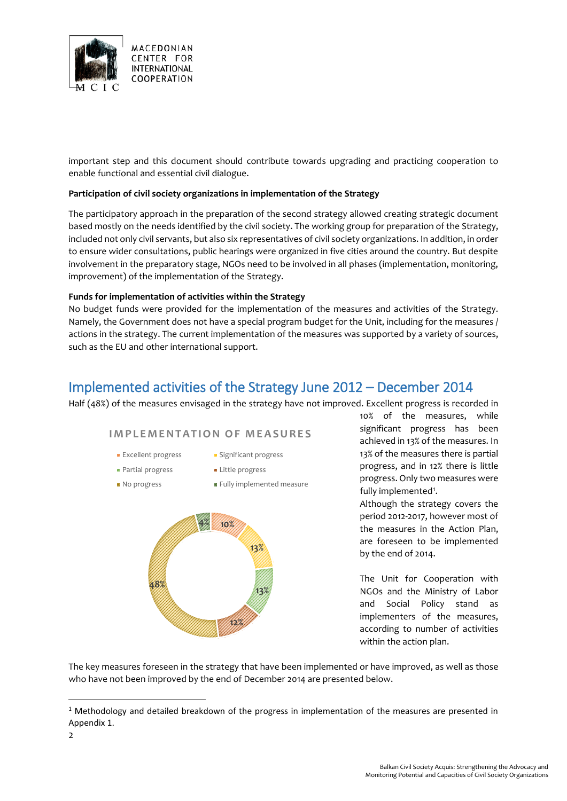

important step and this document should contribute towards upgrading and practicing cooperation to enable functional and essential civil dialogue.

#### **Participation of civil society organizations in implementation of the Strategy**

The participatory approach in the preparation of the second strategy allowed creating strategic document based mostly on the needs identified by the civil society. The working group for preparation of the Strategy, included not only civil servants, but also six representatives of civil society organizations. In addition, in order to ensure wider consultations, public hearings were organized in five cities around the country. But despite involvement in the preparatory stage, NGOs need to be involved in all phases (implementation, monitoring, improvement) of the implementation of the Strategy.

#### **Funds for implementation of activities within the Strategy**

No budget funds were provided for the implementation of the measures and activities of the Strategy. Namely, the Government does not have a special program budget for the Unit, including for the measures / actions in the strategy. The current implementation of the measures was supported by a variety of sources, such as the EU and other international support.

## Implemented activities of the Strategy June 2012 – December 2014

Half (48%) of the measures envisaged in the strategy have not improved. Excellent progress is recorded in

## **IMPLEMENTATION OF MEASURES**

- **Excellent progress** Significant progress
- **Partial progress Partial progress**
- No progress Fully implemented measure



10% of the measures, while significant progress has been achieved in 13% of the measures. In 13% of the measures there is partial progress, and in 12% there is little progress. Only two measures were fully implemented<sup>[1](#page-1-0)</sup>.

Although the strategy covers the period 2012-2017, however most of the measures in the Action Plan, are foreseen to be implemented by the end of 2014.

The Unit for Cooperation with NGOs and the Ministry of Labor and Social Policy stand as implementers of the measures, according to number of activities within the action plan.

The key measures foreseen in the strategy that have been implemented or have improved, as well as those who have not been improved by the end of December 2014 are presented below.

<span id="page-1-0"></span> $1$  Methodology and detailed breakdown of the progress in implementation of the measures are presented in Appendix 1.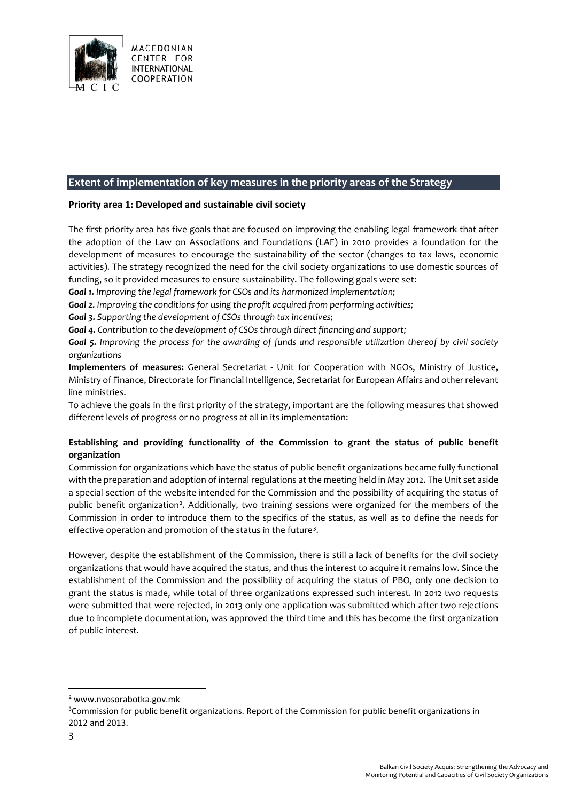

## **Extent of implementation of key measures in the priority areas of the Strategy**

#### **Priority area 1: Developed and sustainable civil society**

The first priority area has five goals that are focused on improving the enabling legal framework that after the adoption of the Law on Associations and Foundations (LAF) in 2010 provides a foundation for the development of measures to encourage the sustainability of the sector (changes to tax laws, economic activities). The strategy recognized the need for the civil society organizations to use domestic sources of funding, so it provided measures to ensure sustainability. The following goals were set:

*Goal 1. Improving the legal framework for CSOs and its harmonized implementation;*

*Goal 2. Improving the conditions for using the profit acquired from performing activities;*

*Goal 3. Supporting the development of CSOs through tax incentives;*

*Goal 4. Contribution to the development of CSOs through direct financing and support;*

*Goal 5. Improving the process for the awarding of funds and responsible utilization thereof by civil society organizations*

**Implementers of measures:** General Secretariat - Unit for Cooperation with NGOs, Ministry of Justice, Ministry of Finance, Directorate for Financial Intelligence, Secretariat for European Affairs and other relevant line ministries.

To achieve the goals in the first priority of the strategy, important are the following measures that showed different levels of progress or no progress at all in its implementation:

#### **Establishing and providing functionality of the Commission to grant the status of public benefit organization**

Commission for organizations which have the status of public benefit organizations became fully functional with the preparation and adoption of internal regulations at the meeting held in May 2012. The Unit set aside a special section of the website intended for the Commission and the possibility of acquiring the status of public benefit organization<sup>[2](#page-2-0)</sup>. Additionally, two training sessions were organized for the members of the Commission in order to introduce them to the specifics of the status, as well as to define the needs for effective operation and promotion of the status in the future<sup>[3](#page-2-1)</sup>.

However, despite the establishment of the Commission, there is still a lack of benefits for the civil society organizations that would have acquired the status, and thus the interest to acquire it remains low. Since the establishment of the Commission and the possibility of acquiring the status of PBO, only one decision to grant the status is made, while total of three organizations expressed such interest. In 2012 two requests were submitted that were rejected, in 2013 only one application was submitted which after two rejections due to incomplete documentation, was approved the third time and this has become the first organization of public interest.

 $\overline{\phantom{a}}$ 

<span id="page-2-0"></span><sup>2</sup> www.nvosorabotka.gov.mk

<span id="page-2-1"></span><sup>&</sup>lt;sup>3</sup>Commission for public benefit organizations. Report of the Commission for public benefit organizations in 2012 and 2013.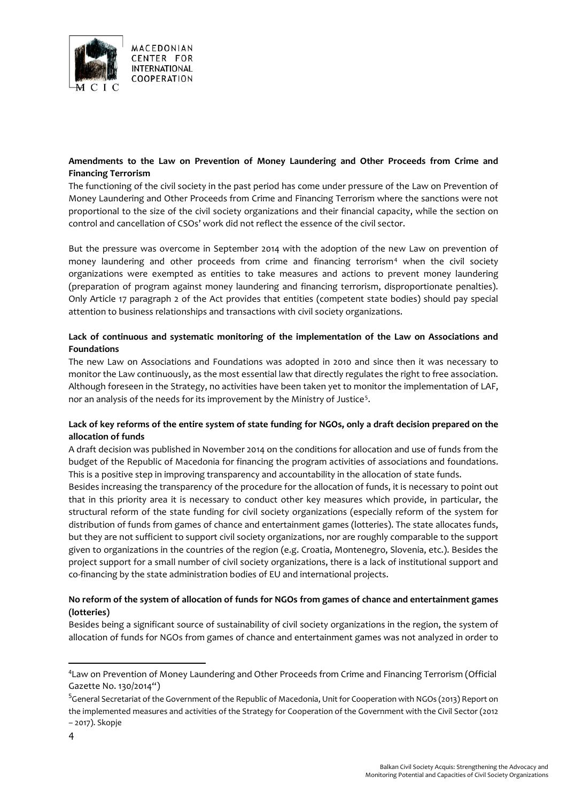

## **Amendments to the Law on Prevention of Money Laundering and Other Proceeds from Crime and Financing Terrorism**

The functioning of the civil society in the past period has come under pressure of the Law on Prevention of Money Laundering and Other Proceeds from Crime and Financing Terrorism where the sanctions were not proportional to the size of the civil society organizations and their financial capacity, while the section on control and cancellation of CSOs' work did not reflect the essence of the civil sector.

But the pressure was overcome in September 2014 with the adoption of the new Law on prevention of money laundering and other proceeds from crime and financing terrorism<sup>[4](#page-3-0)</sup> when the civil society organizations were exempted as entities to take measures and actions to prevent money laundering (preparation of program against money laundering and financing terrorism, disproportionate penalties). Only Article 17 paragraph 2 of the Act provides that entities (competent state bodies) should pay special attention to business relationships and transactions with civil society organizations.

## **Lack of continuous and systematic monitoring of the implementation of the Law on Associations and Foundations**

The new Law on Associations and Foundations was adopted in 2010 and since then it was necessary to monitor the Law continuously, as the most essential law that directly regulates the right to free association. Although foreseen in the Strategy, no activities have been taken yet to monitor the implementation of LAF, nor an analysis of the needs for its improvement by the Ministry of Justice<sup>[5](#page-3-1)</sup>.

## **Lack of key reforms of the entire system of state funding for NGOs, only a draft decision prepared on the allocation of funds**

A draft decision was published in November 2014 on the conditions for allocation and use of funds from the budget of the Republic of Macedonia for financing the program activities of associations and foundations. This is a positive step in improving transparency and accountability in the allocation of state funds.

Besides increasing the transparency of the procedure for the allocation of funds, it is necessary to point out that in this priority area it is necessary to conduct other key measures which provide, in particular, the structural reform of the state funding for civil society organizations (especially reform of the system for distribution of funds from games of chance and entertainment games (lotteries). The state allocates funds, but they are not sufficient to support civil society organizations, nor are roughly comparable to the support given to organizations in the countries of the region (e.g. Croatia, Montenegro, Slovenia, etc.). Besides the project support for a small number of civil society organizations, there is a lack of institutional support and co-financing by the state administration bodies of EU and international projects.

## **No reform of the system of allocation of funds for NGOs from games of chance and entertainment games (lotteries)**

Besides being a significant source of sustainability of civil society organizations in the region, the system of allocation of funds for NGOs from games of chance and entertainment games was not analyzed in order to

<span id="page-3-0"></span><sup>4</sup> Law on Prevention of Money Laundering and Other Proceeds from Crime and Financing Terrorism (Official Gazette No. 130/2014")

<span id="page-3-1"></span><sup>&</sup>lt;sup>5</sup>General Secretariat of the Government of the Republic of Macedonia, Unit for Cooperation with NGOs (2013) Report on the implemented measures and activities of the Strategy for Cooperation of the Government with the Civil Sector (2012 – 2017). Skopje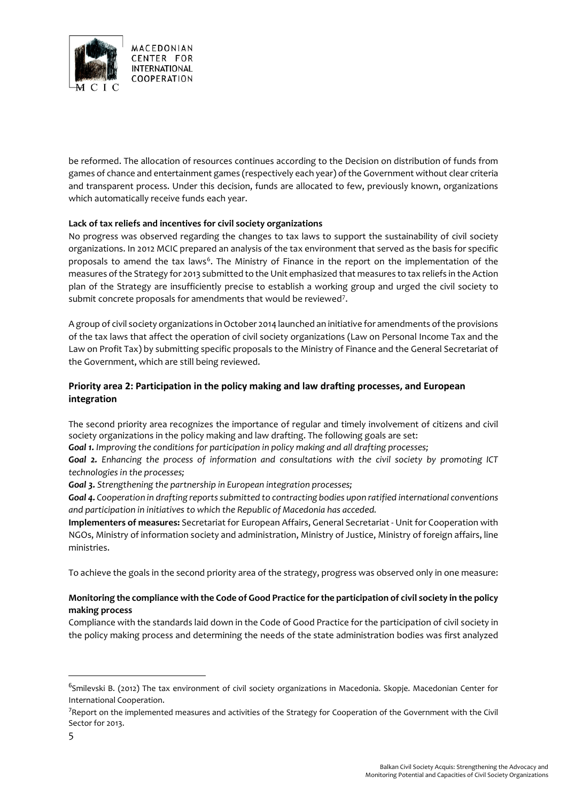

be reformed. The allocation of resources continues according to the Decision on distribution of funds from games of chance and entertainment games (respectively each year) of the Government without clear criteria and transparent process. Under this decision, funds are allocated to few, previously known, organizations which automatically receive funds each year.

## **Lack of tax reliefs and incentives for civil society organizations**

No progress was observed regarding the changes to tax laws to support the sustainability of civil society organizations. In 2012 MCIC prepared an analysis of the tax environment that served as the basis for specific proposals to amend the tax laws<sup>[6](#page-4-0)</sup>. The Ministry of Finance in the report on the implementation of the measures of the Strategy for 2013 submitted to the Unit emphasized that measures to tax reliefs in the Action plan of the Strategy are insufficiently precise to establish a working group and urged the civil society to submit concrete proposals for amendments that would be reviewed<sup>[7](#page-4-1)</sup>.

A group of civil society organizations in October 2014 launched an initiative for amendments of the provisions of the tax laws that affect the operation of civil society organizations (Law on Personal Income Tax and the Law on Profit Tax) by submitting specific proposals to the Ministry of Finance and the General Secretariat of the Government, which are still being reviewed.

## **Priority area 2: Participation in the policy making and law drafting processes, and European integration**

The second priority area recognizes the importance of regular and timely involvement of citizens and civil society organizations in the policy making and law drafting. The following goals are set:

*Goal 1. Improving the conditions for participation in policy making and all drafting processes;*

*Goal 2. Enhancing the process of information and consultations with the civil society by promoting ICT technologies in the processes;*

*Goal 3. Strengthening the partnership in European integration processes;*

*Goal 4. Cooperation in drafting reports submitted to contracting bodies upon ratified international conventions and participation in initiatives to which the Republic of Macedonia has acceded.*

**Implementers of measures:** Secretariat for European Affairs, General Secretariat - Unit for Cooperation with NGOs, Ministry of information society and administration, Ministry of Justice, Ministry of foreign affairs, line ministries.

To achieve the goals in the second priority area of the strategy, progress was observed only in one measure:

## **Monitoring the compliance with the Code of Good Practice for the participation of civil society in the policy making process**

Compliance with the standards laid down in the Code of Good Practice for the participation of civil society in the policy making process and determining the needs of the state administration bodies was first analyzed

<span id="page-4-0"></span><sup>&</sup>lt;sup>6</sup>Smilevski B. (2012) The tax environment of civil society organizations in Macedonia. Skopje. Macedonian Center for International Cooperation.

<span id="page-4-1"></span><sup>&</sup>lt;sup>7</sup>Report on the implemented measures and activities of the Strategy for Cooperation of the Government with the Civil Sector for 2013.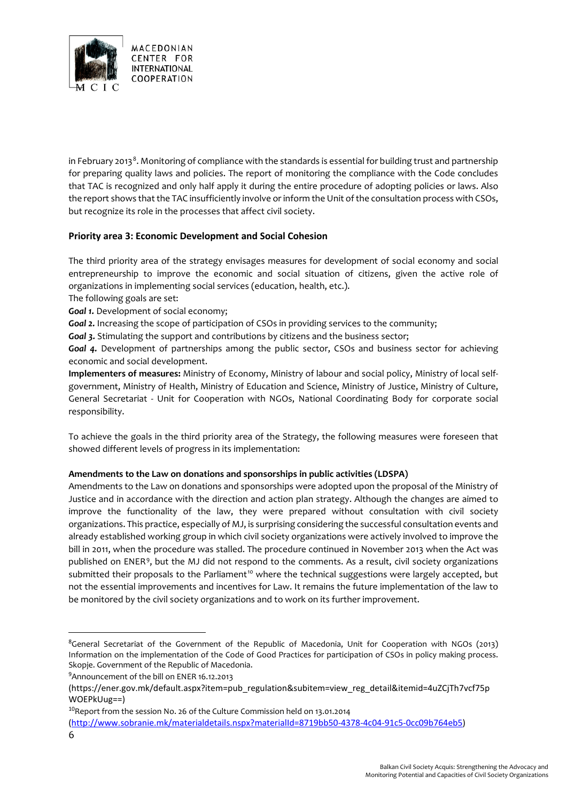

in February 2013<sup>[8](#page-5-0)</sup>. Monitoring of compliance with the standards is essential for building trust and partnership for preparing quality laws and policies. The report of monitoring the compliance with the Code concludes that TAC is recognized and only half apply it during the entire procedure of adopting policies or laws. Also the report shows that the TAC insufficiently involve or inform the Unit of the consultation process with CSOs, but recognize its role in the processes that affect civil society.

## **Priority area 3: Economic Development and Social Cohesion**

The third priority area of the strategy envisages measures for development of social economy and social entrepreneurship to improve the economic and social situation of citizens, given the active role of organizations in implementing social services (education, health, etc.).

The following goals are set:

**Goal 1.** Development of social economy;

*Goal 2.* Increasing the scope of participation of CSOs in providing services to the community;

**Goal 3.** Stimulating the support and contributions by citizens and the business sector;

*Goal 4.* Development of partnerships among the public sector, CSOs and business sector for achieving economic and social development.

**Implementers of measures:** Ministry of Economy, Ministry of labour and social policy, Ministry of local selfgovernment, Ministry of Health, Ministry of Education and Science, Ministry of Justice, Ministry of Culture, General Secretariat - Unit for Cooperation with NGOs, National Coordinating Body for corporate social responsibility.

To achieve the goals in the third priority area of the Strategy, the following measures were foreseen that showed different levels of progress in its implementation:

#### **Amendments to the Law on donations and sponsorships in public activities (LDSPA)**

Amendments to the Law on donations and sponsorships were adopted upon the proposal of the Ministry of Justice and in accordance with the direction and action plan strategy. Although the changes are aimed to improve the functionality of the law, they were prepared without consultation with civil society organizations. This practice, especially of MJ, is surprising considering the successful consultation events and already established working group in which civil society organizations were actively involved to improve the bill in 2011, when the procedure was stalled. The procedure continued in November 2013 when the Act was published on ENER[9](#page-5-1), but the MJ did not respond to the comments. As a result, civil society organizations submitted their proposals to the Parliament<sup>[10](#page-5-2)</sup> where the technical suggestions were largely accepted, but not the essential improvements and incentives for Law. It remains the future implementation of the law to be monitored by the civil society organizations and to work on its further improvement.

 $\overline{\phantom{a}}$ 

<span id="page-5-0"></span><sup>&</sup>lt;sup>8</sup>General Secretariat of the Government of the Republic of Macedonia, Unit for Cooperation with NGOs (2013) Information on the implementation of the Code of Good Practices for participation of CSOs in policy making process. Skopje. Government of the Republic of Macedonia.

<span id="page-5-1"></span><sup>&</sup>lt;sup>9</sup> Announcement of the bill on ENER 16.12.2013

<sup>(</sup>https://ener.gov.mk/default.aspx?item=pub\_regulation&subitem=view\_reg\_detail&itemid=4uZCjTh7vcf75p

<span id="page-5-2"></span>WOEPkUug==)<br><sup>10</sup>Report from the session No. 26 of the Culture Commission held on 13.01.2014

[<sup>\(</sup>http://www.sobranie.mk/materialdetails.nspx?materialId=8719bb50-4378-4c04-91c5-0cc09b764eb5\)](http://www.sobranie.mk/materialdetails.nspx?materialId=8719bb50-4378-4c04-91c5-0cc09b764eb5)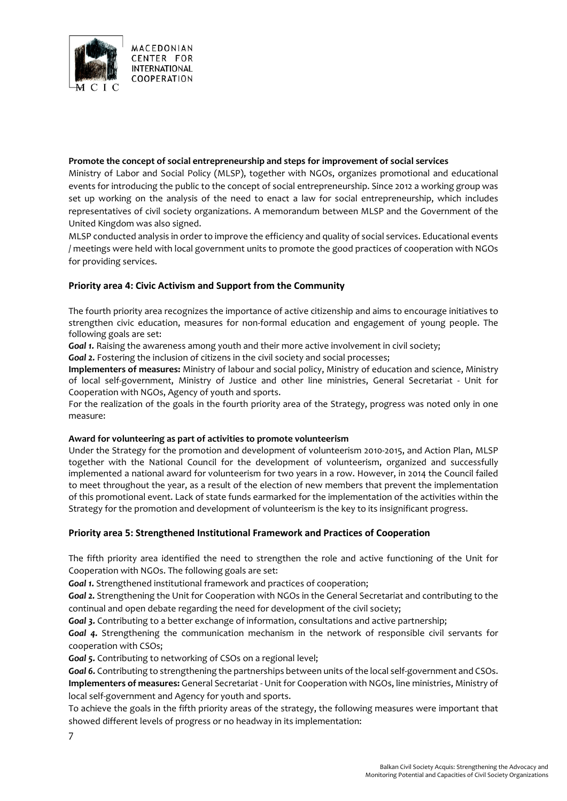

#### **Promote the concept of social entrepreneurship and steps for improvement of social services**

Ministry of Labor and Social Policy (MLSP), together with NGOs, organizes promotional and educational events for introducing the public to the concept of social entrepreneurship. Since 2012 a working group was set up working on the analysis of the need to enact a law for social entrepreneurship, which includes representatives of civil society organizations. A memorandum between MLSP and the Government of the United Kingdom was also signed.

MLSP conducted analysis in order to improve the efficiency and quality of social services. Educational events / meetings were held with local government units to promote the good practices of cooperation with NGOs for providing services.

#### **Priority area 4: Civic Activism and Support from the Community**

The fourth priority area recognizes the importance of active citizenship and aims to encourage initiatives to strengthen civic education, measures for non-formal education and engagement of young people. The following goals are set:

**Goal 1.** Raising the awareness among youth and their more active involvement in civil society;

**Goal 2.** Fostering the inclusion of citizens in the civil society and social processes;

**Implementers of measures:** Ministry of labour and social policy, Ministry of education and science, Ministry of local self-government, Ministry of Justice and other line ministries, General Secretariat - Unit for Cooperation with NGOs, Agency of youth and sports.

For the realization of the goals in the fourth priority area of the Strategy, progress was noted only in one measure:

#### **Award for volunteering as part of activities to promote volunteerism**

Under the Strategy for the promotion and development of volunteerism 2010-2015, and Action Plan, MLSP together with the National Council for the development of volunteerism, organized and successfully implemented a national award for volunteerism for two years in a row. However, in 2014 the Council failed to meet throughout the year, as a result of the election of new members that prevent the implementation of this promotional event. Lack of state funds earmarked for the implementation of the activities within the Strategy for the promotion and development of volunteerism is the key to its insignificant progress.

#### **Priority area 5: Strengthened Institutional Framework and Practices of Cooperation**

The fifth priority area identified the need to strengthen the role and active functioning of the Unit for Cooperation with NGOs. The following goals are set:

*Goal 1.* Strengthened institutional framework and practices of cooperation;

*Goal 2.* Strengthening the Unit for Cooperation with NGOs in the General Secretariat and contributing to the continual and open debate regarding the need for development of the civil society;

*Goal 3.* Contributing to a better exchange of information, consultations and active partnership;

*Goal 4.* Strengthening the communication mechanism in the network of responsible civil servants for cooperation with CSOs;

*Goal 5.* Contributing to networking of CSOs on a regional level;

*Goal 6.* Contributing to strengthening the partnerships between units of the local self-government and CSOs. **Implementers of measures:** General Secretariat - Unit for Cooperation with NGOs, line ministries, Ministry of local self-government and Agency for youth and sports.

To achieve the goals in the fifth priority areas of the strategy, the following measures were important that showed different levels of progress or no headway in its implementation:

7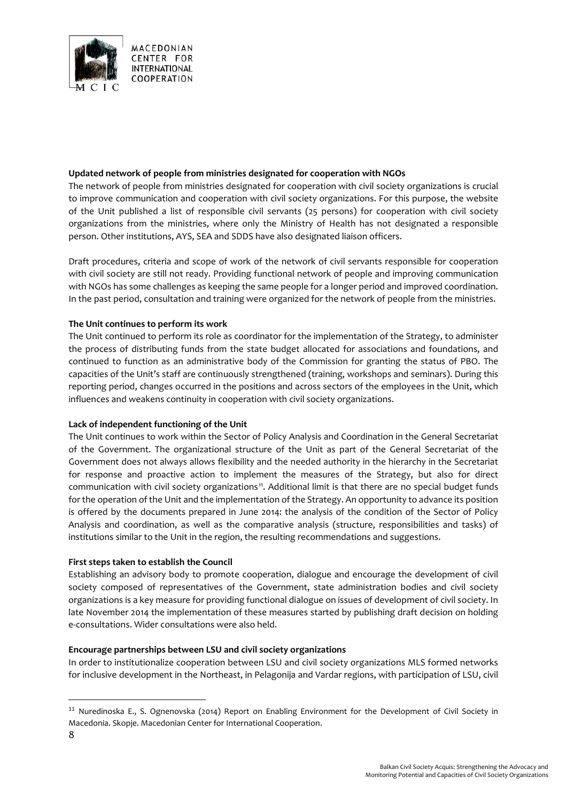

#### **Updated network of people from ministries designated for cooperation with NGOs**

The network of people from ministries designated for cooperation with civil society organizations is crucial to improve communication and cooperation with civil society organizations. For this purpose, the website of the Unit published a list of responsible civil servants (25 persons) for cooperation with civil society organizations from the ministries, where only the Ministry of Health has not designated a responsible person. Other institutions, AYS, SEA and SDDS have also designated liaison officers.

Draft procedures, criteria and scope of work of the network of civil servants responsible for cooperation with civil society are still not ready. Providing functional network of people and improving communication with NGOs has some challenges as keeping the same people for a longer period and improved coordination. In the past period, consultation and training were organized for the network of people from the ministries.

#### **The Unit continues to perform its work**

The Unit continued to perform its role as coordinator for the implementation of the Strategy, to administer the process of distributing funds from the state budget allocated for associations and foundations, and continued to function as an administrative body of the Commission for granting the status of PBO. The capacities of the Unit's staff are continuously strengthened (training, workshops and seminars). During this reporting period, changes occurred in the positions and across sectors of the employees in the Unit, which influences and weakens continuity in cooperation with civil society organizations.

#### **Lack of independent functioning of the Unit**

The Unit continues to work within the Sector of Policy Analysis and Coordination in the General Secretariat of the Government. The organizational structure of the Unit as part of the General Secretariat of the Government does not always allows flexibility and the needed authority in the hierarchy in the Secretariat for response and proactive action to implement the measures of the Strategy, but also for direct communication with civil society organizations<sup>[11](#page-7-0)</sup>. Additional limit is that there are no special budget funds for the operation of the Unit and the implementation of the Strategy. An opportunity to advance its position is offered by the documents prepared in June 2014: the analysis of the condition of the Sector of Policy Analysis and coordination, as well as the comparative analysis (structure, responsibilities and tasks) of institutions similar to the Unit in the region, the resulting recommendations and suggestions.

#### **First steps taken to establish the Council**

Establishing an advisory body to promote cooperation, dialogue and encourage the development of civil society composed of representatives of the Government, state administration bodies and civil society organizations is a key measure for providing functional dialogue on issues of development of civil society. In late November 2014 the implementation of these measures started by publishing draft decision on holding e-consultations. Wider consultations were also held.

#### **Encourage partnerships between LSU and civil society organizations**

In order to institutionalize cooperation between LSU and civil society organizations MLS formed networks for inclusive development in the Northeast, in Pelagonija and Vardar regions, with participation of LSU, civil

<span id="page-7-0"></span><sup>11</sup> Nuredinoska E., S. Ognenovska (2014) Report on Enabling Environment for the Development of Civil Society in Macedonia. Skopje. Macedonian Center for International Cooperation.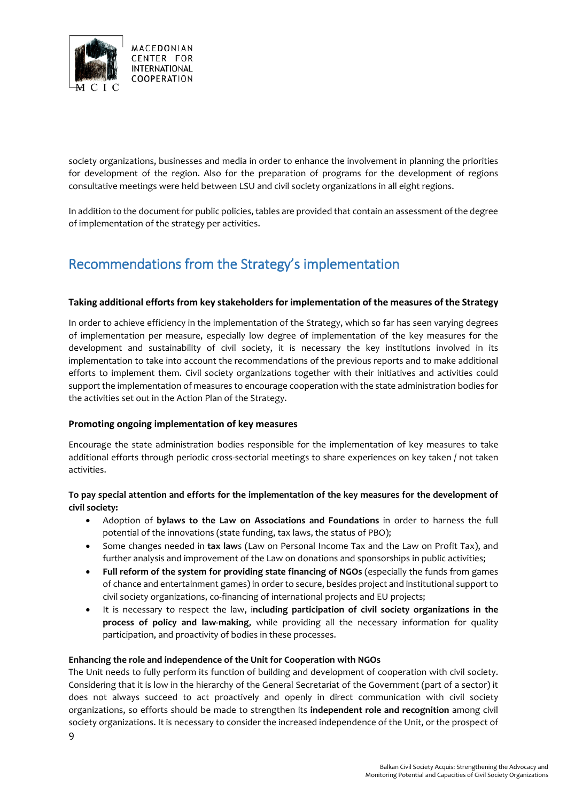

society organizations, businesses and media in order to enhance the involvement in planning the priorities for development of the region. Also for the preparation of programs for the development of regions consultative meetings were held between LSU and civil society organizations in all eight regions.

In addition to the document for public policies, tables are provided that contain an assessment of the degree of implementation of the strategy per activities.

# Recommendations from the Strategy's implementation

#### **Taking additional efforts from key stakeholders for implementation of the measures of the Strategy**

In order to achieve efficiency in the implementation of the Strategy, which so far has seen varying degrees of implementation per measure, especially low degree of implementation of the key measures for the development and sustainability of civil society, it is necessary the key institutions involved in its implementation to take into account the recommendations of the previous reports and to make additional efforts to implement them. Civil society organizations together with their initiatives and activities could support the implementation of measures to encourage cooperation with the state administration bodies for the activities set out in the Action Plan of the Strategy.

#### **Promoting ongoing implementation of key measures**

Encourage the state administration bodies responsible for the implementation of key measures to take additional efforts through periodic cross-sectorial meetings to share experiences on key taken / not taken activities.

## **To pay special attention and efforts for the implementation of the key measures for the development of civil society:**

- Adoption of **bylaws to the Law on Associations and Foundations** in order to harness the full potential of the innovations (state funding, tax laws, the status of PBO);
- Some changes needed in **tax law**s (Law on Personal Income Tax and the Law on Profit Tax), and further analysis and improvement of the Law on donations and sponsorships in public activities;
- **Full reform of the system for providing state financing of NGOs** (especially the funds from games of chance and entertainment games) in order to secure, besides project and institutional support to civil society organizations, co-financing of international projects and EU projects;
- It is necessary to respect the law, i**ncluding participation of civil society organizations in the process of policy and law-making**, while providing all the necessary information for quality participation, and proactivity of bodies in these processes.

#### **Enhancing the role and independence of the Unit for Cooperation with NGOs**

9

The Unit needs to fully perform its function of building and development of cooperation with civil society. Considering that it is low in the hierarchy of the General Secretariat of the Government (part of a sector) it does not always succeed to act proactively and openly in direct communication with civil society organizations, so efforts should be made to strengthen its **independent role and recognition** among civil society organizations. It is necessary to consider the increased independence of the Unit, or the prospect of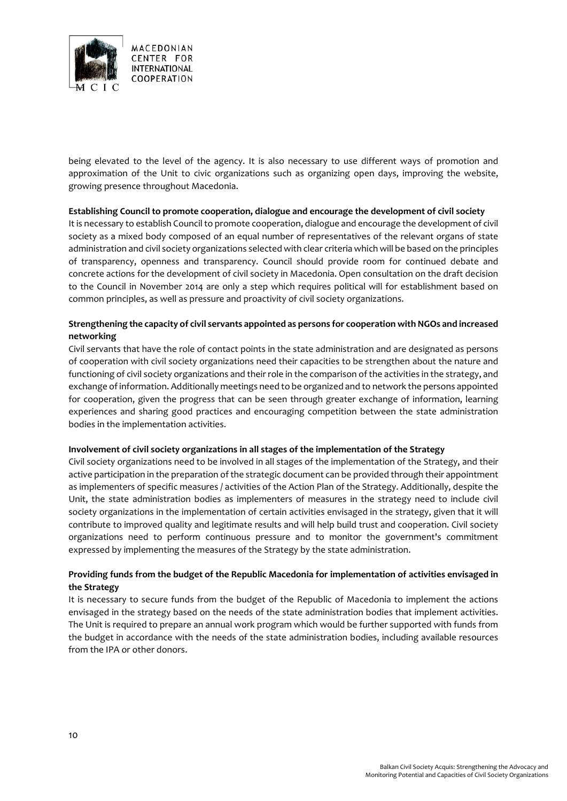

being elevated to the level of the agency. It is also necessary to use different ways of promotion and approximation of the Unit to civic organizations such as organizing open days, improving the website, growing presence throughout Macedonia.

#### **Establishing Council to promote cooperation, dialogue and encourage the development of civil society**

It is necessary to establish Council to promote cooperation, dialogue and encourage the development of civil society as a mixed body composed of an equal number of representatives of the relevant organs of state administration and civil society organizations selected with clear criteria which will be based on the principles of transparency, openness and transparency. Council should provide room for continued debate and concrete actions for the development of civil society in Macedonia. Open consultation on the draft decision to the Council in November 2014 are only a step which requires political will for establishment based on common principles, as well as pressure and proactivity of civil society organizations.

#### **Strengthening the capacity of civil servants appointed as persons for cooperation with NGOs and increased networking**

Civil servants that have the role of contact points in the state administration and are designated as persons of cooperation with civil society organizations need their capacities to be strengthen about the nature and functioning of civil society organizations and their role in the comparison of the activities in the strategy, and exchange ofinformation. Additionally meetings need to be organized and to network the persons appointed for cooperation, given the progress that can be seen through greater exchange of information, learning experiences and sharing good practices and encouraging competition between the state administration bodies in the implementation activities.

#### **Involvement of civil society organizations in all stages of the implementation of the Strategy**

Civil society organizations need to be involved in all stages of the implementation of the Strategy, and their active participation in the preparation of the strategic document can be provided through their appointment as implementers of specific measures / activities of the Action Plan of the Strategy. Additionally, despite the Unit, the state administration bodies as implementers of measures in the strategy need to include civil society organizations in the implementation of certain activities envisaged in the strategy, given that it will contribute to improved quality and legitimate results and will help build trust and cooperation. Civil society organizations need to perform continuous pressure and to monitor the government's commitment expressed by implementing the measures of the Strategy by the state administration.

## **Providing funds from the budget of the Republic Macedonia for implementation of activities envisaged in the Strategy**

It is necessary to secure funds from the budget of the Republic of Macedonia to implement the actions envisaged in the strategy based on the needs of the state administration bodies that implement activities. The Unit is required to prepare an annual work program which would be further supported with funds from the budget in accordance with the needs of the state administration bodies, including available resources from the IPA or other donors.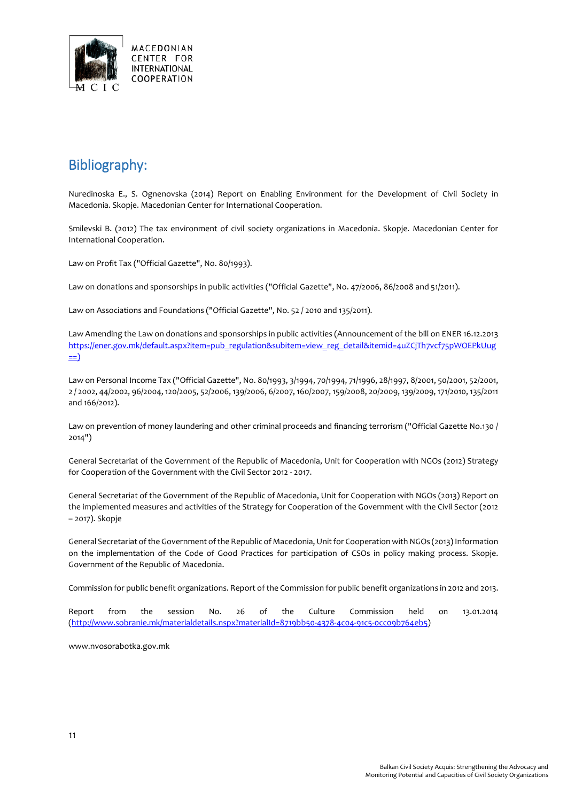

## Bibliography:

Nuredinoska E., S. Ognenovska (2014) Report on Enabling Environment for the Development of Civil Society in Macedonia. Skopje. Macedonian Center for International Cooperation.

Smilevski B. (2012) The tax environment of civil society organizations in Macedonia. Skopje. Macedonian Center for International Cooperation.

Law on Profit Tax ("Official Gazette", No. 80/1993).

Law on donations and sponsorships in public activities ("Official Gazette", No. 47/2006, 86/2008 and 51/2011).

Law on Associations and Foundations ("Official Gazette", No. 52 / 2010 and 135/2011).

Law Amending the Law on donations and sponsorships in public activities (Announcement of the bill on ENER 16.12.2013 [https://ener.gov.mk/default.aspx?item=pub\\_regulation&subitem=view\\_reg\\_detail&itemid=4uZCjTh7vcf75pWOEPkUug](https://ener.gov.mk/default.aspx?item=pub_regulation&subitem=view_reg_detail&itemid=4uZCjTh7vcf75pWOEPkUug)  $\equiv$ )

Law on Personal Income Tax ("Official Gazette", No. 80/1993, 3/1994, 70/1994, 71/1996, 28/1997, 8/2001, 50/2001, 52/2001, 2 / 2002, 44/2002, 96/2004, 120/2005, 52/2006, 139/2006, 6/2007, 160/2007, 159/2008, 20/2009, 139/2009, 171/2010, 135/2011 and 166/2012).

Law on prevention of money laundering and other criminal proceeds and financing terrorism ("Official Gazette No.130 / 2014")

General Secretariat of the Government of the Republic of Macedonia, Unit for Cooperation with NGOs (2012) Strategy for Cooperation of the Government with the Civil Sector 2012 - 2017.

General Secretariat of the Government of the Republic of Macedonia, Unit for Cooperation with NGOs (2013) Report on the implemented measures and activities of the Strategy for Cooperation of the Government with the Civil Sector (2012 – 2017). Skopje

General Secretariat of the Government of the Republic of Macedonia, Unitfor Cooperation with NGOs (2013) Information on the implementation of the Code of Good Practices for participation of CSOs in policy making process. Skopje. Government of the Republic of Macedonia.

Commission for public benefit organizations. Report of the Commission for public benefit organizations in 2012 and 2013.

Report from the session No. 26 of the Culture Commission held on 13.01.2014 [\(http://www.sobranie.mk/materialdetails.nspx?materialId=8719bb50-4378-4c04-91c5-0cc09b764eb5\)](http://www.sobranie.mk/materialdetails.nspx?materialId=8719bb50-4378-4c04-91c5-0cc09b764eb5)

www.nvosorabotka.gov.mk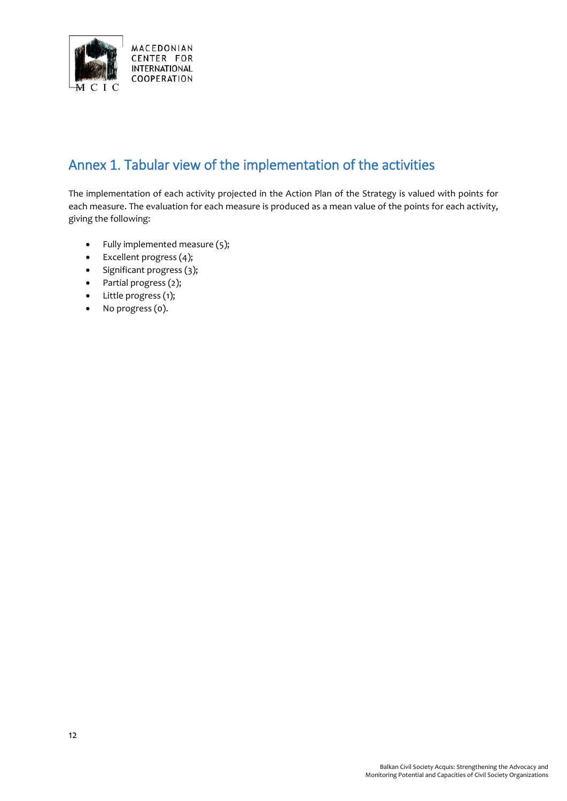

# Annex 1. Tabular view of the implementation of the activities

The implementation of each activity projected in the Action Plan of the Strategy is valued with points for each measure. The evaluation for each measure is produced as a mean value of the points for each activity, giving the following:

- Fully implemented measure (5);
- Excellent progress (4);
- Significant progress (3);
- Partial progress (2);
- Little progress (1);
- No progress (0).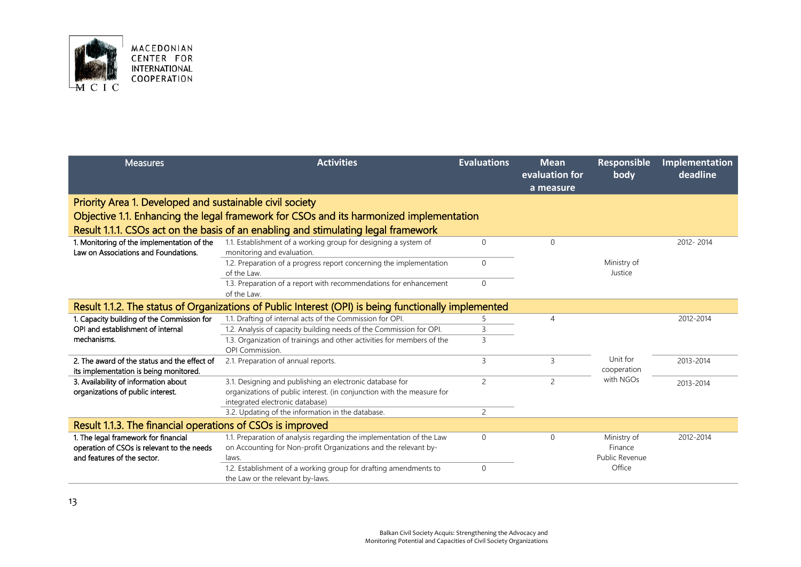

| MACEDONIAN         |  |  |  |  |  |
|--------------------|--|--|--|--|--|
| CENTER FOR         |  |  |  |  |  |
| INTERNATIONAL      |  |  |  |  |  |
| <b>COOPERATION</b> |  |  |  |  |  |
|                    |  |  |  |  |  |

| <b>Measures</b>                                                                                                   | <b>Activities</b>                                                                                                                                                     | <b>Evaluations</b> | <b>Mean</b><br>evaluation for<br>a measure | <b>Responsible</b><br>body               | Implementation<br>deadline |
|-------------------------------------------------------------------------------------------------------------------|-----------------------------------------------------------------------------------------------------------------------------------------------------------------------|--------------------|--------------------------------------------|------------------------------------------|----------------------------|
| Priority Area 1. Developed and sustainable civil society                                                          |                                                                                                                                                                       |                    |                                            |                                          |                            |
|                                                                                                                   | Objective 1.1. Enhancing the legal framework for CSOs and its harmonized implementation                                                                               |                    |                                            |                                          |                            |
|                                                                                                                   | Result 1.1.1. CSOs act on the basis of an enabling and stimulating legal framework                                                                                    |                    |                                            |                                          |                            |
| 1. Monitoring of the implementation of the<br>Law on Associations and Foundations.                                | 1.1. Establishment of a working group for designing a system of<br>monitoring and evaluation.                                                                         | $\mathbf 0$        | $\mathbf{0}$                               |                                          | 2012-2014                  |
|                                                                                                                   | 1.2. Preparation of a progress report concerning the implementation<br>of the Law.                                                                                    | $\mathbf{0}$       |                                            | Ministry of<br>Justice                   |                            |
|                                                                                                                   | 1.3. Preparation of a report with recommendations for enhancement<br>of the Law.                                                                                      | $\mathbf{0}$       |                                            |                                          |                            |
|                                                                                                                   | Result 1.1.2. The status of Organizations of Public Interest (OPI) is being functionally implemented                                                                  |                    |                                            |                                          |                            |
| 1. Capacity building of the Commission for                                                                        | 1.1. Drafting of internal acts of the Commission for OPI.                                                                                                             | 5                  | $\overline{4}$                             |                                          | 2012-2014                  |
| OPI and establishment of internal                                                                                 | 1.2. Analysis of capacity building needs of the Commission for OPI.                                                                                                   | 3                  |                                            |                                          |                            |
| mechanisms.                                                                                                       | 1.3. Organization of trainings and other activities for members of the<br>OPI Commission.                                                                             | 3                  |                                            |                                          |                            |
| 2. The award of the status and the effect of<br>its implementation is being monitored.                            | 2.1. Preparation of annual reports.                                                                                                                                   | 3                  | 3                                          | Unit for<br>cooperation                  | 2013-2014                  |
| 3. Availability of information about<br>organizations of public interest.                                         | 3.1. Designing and publishing an electronic database for<br>organizations of public interest. (in conjunction with the measure for<br>integrated electronic database) | $\overline{c}$     | $\overline{2}$                             | with NGOs                                | 2013-2014                  |
|                                                                                                                   | 3.2. Updating of the information in the database.                                                                                                                     | $\overline{2}$     |                                            |                                          |                            |
| Result 1.1.3. The financial operations of CSOs is improved                                                        |                                                                                                                                                                       |                    |                                            |                                          |                            |
| 1. The legal framework for financial<br>operation of CSOs is relevant to the needs<br>and features of the sector. | 1.1. Preparation of analysis regarding the implementation of the Law<br>on Accounting for Non-profit Organizations and the relevant by-<br>laws.                      | $\Omega$           | $\Omega$                                   | Ministry of<br>Finance<br>Public Revenue | 2012-2014                  |
|                                                                                                                   | 1.2. Establishment of a working group for drafting amendments to<br>the Law or the relevant by-laws.                                                                  | $\mathbf 0$        |                                            | Office                                   |                            |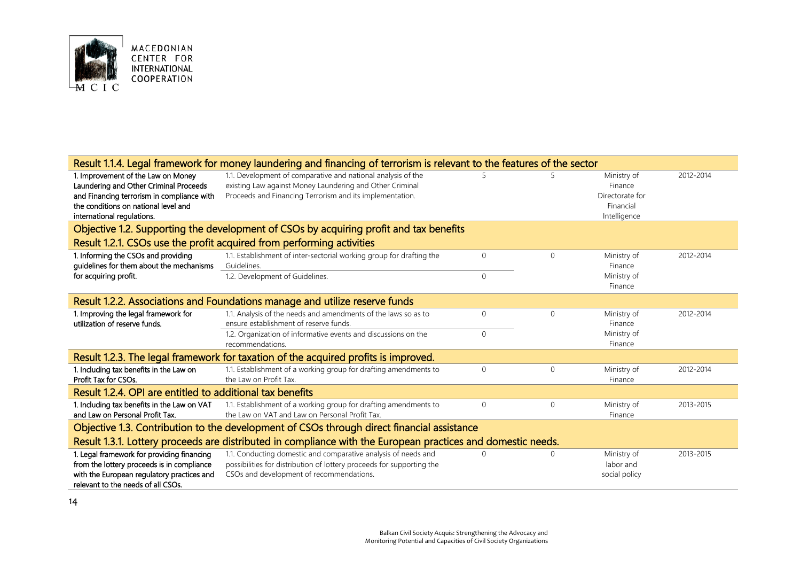

|                                                                                                                                                                                                  | Result 1.1.4. Legal framework for money laundering and financing of terrorism is relevant to the features of the sector                                                              |              |              |                                                                        |           |  |  |
|--------------------------------------------------------------------------------------------------------------------------------------------------------------------------------------------------|--------------------------------------------------------------------------------------------------------------------------------------------------------------------------------------|--------------|--------------|------------------------------------------------------------------------|-----------|--|--|
| 1. Improvement of the Law on Money<br>Laundering and Other Criminal Proceeds<br>and Financing terrorism in compliance with<br>the conditions on national level and<br>international regulations. | 1.1. Development of comparative and national analysis of the<br>existing Law against Money Laundering and Other Criminal<br>Proceeds and Financing Terrorism and its implementation. | 5            | 5            | Ministry of<br>Finance<br>Directorate for<br>Financial<br>Intelligence | 2012-2014 |  |  |
|                                                                                                                                                                                                  | Objective 1.2. Supporting the development of CSOs by acquiring profit and tax benefits                                                                                               |              |              |                                                                        |           |  |  |
|                                                                                                                                                                                                  | Result 1.2.1. CSOs use the profit acquired from performing activities                                                                                                                |              |              |                                                                        |           |  |  |
| 1. Informing the CSOs and providing<br>guidelines for them about the mechanisms                                                                                                                  | 1.1. Establishment of inter-sectorial working group for drafting the<br>Guidelines.                                                                                                  | $\mathbf{0}$ | $\mathbf{0}$ | Ministry of<br>Finance                                                 | 2012-2014 |  |  |
| for acquiring profit.                                                                                                                                                                            | 1.2. Development of Guidelines.                                                                                                                                                      | $\Omega$     |              | Ministry of<br>Finance                                                 |           |  |  |
| Result 1.2.2. Associations and Foundations manage and utilize reserve funds                                                                                                                      |                                                                                                                                                                                      |              |              |                                                                        |           |  |  |
| 1. Improving the legal framework for<br>utilization of reserve funds.                                                                                                                            | 1.1. Analysis of the needs and amendments of the laws so as to<br>ensure establishment of reserve funds.                                                                             | $\Omega$     | $\Omega$     | Ministry of<br>Finance                                                 | 2012-2014 |  |  |
|                                                                                                                                                                                                  | 1.2. Organization of informative events and discussions on the<br>recommendations.                                                                                                   | $\Omega$     |              | Ministry of<br>Finance                                                 |           |  |  |
|                                                                                                                                                                                                  | Result 1.2.3. The legal framework for taxation of the acquired profits is improved.                                                                                                  |              |              |                                                                        |           |  |  |
| 1. Including tax benefits in the Law on<br>Profit Tax for CSOs.                                                                                                                                  | 1.1. Establishment of a working group for drafting amendments to<br>the Law on Profit Tax.                                                                                           | $\Omega$     | $\Omega$     | Ministry of<br>Finance                                                 | 2012-2014 |  |  |
| Result 1.2.4. OPI are entitled to additional tax benefits                                                                                                                                        |                                                                                                                                                                                      |              |              |                                                                        |           |  |  |
| 1. Including tax benefits in the Law on VAT<br>and Law on Personal Profit Tax.                                                                                                                   | 1.1. Establishment of a working group for drafting amendments to<br>the Law on VAT and Law on Personal Profit Tax.                                                                   | $\mathbf{0}$ | $\mathbf{0}$ | Ministry of<br>Finance                                                 | 2013-2015 |  |  |
|                                                                                                                                                                                                  | Objective 1.3. Contribution to the development of CSOs through direct financial assistance                                                                                           |              |              |                                                                        |           |  |  |
|                                                                                                                                                                                                  | Result 1.3.1. Lottery proceeds are distributed in compliance with the European practices and domestic needs.                                                                         |              |              |                                                                        |           |  |  |
| 1. Legal framework for providing financing<br>from the lottery proceeds is in compliance<br>with the European regulatory practices and<br>relevant to the needs of all CSOs.                     | 1.1. Conducting domestic and comparative analysis of needs and<br>possibilities for distribution of lottery proceeds for supporting the<br>CSOs and development of recommendations.  |              | $\Omega$     | Ministry of<br>labor and<br>social policy                              | 2013-2015 |  |  |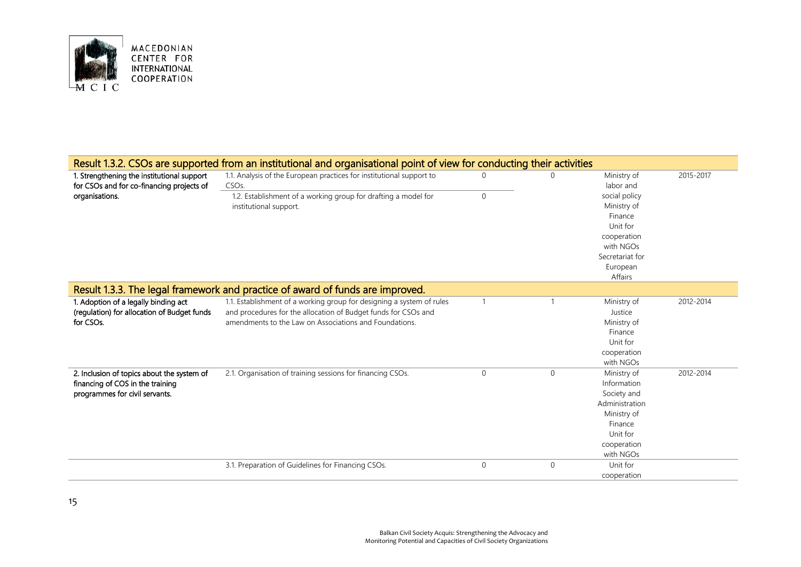

|                                                                                                           | Result 1.3.2. CSOs are supported from an institutional and organisational point of view for conducting their activities |              |              |                          |           |
|-----------------------------------------------------------------------------------------------------------|-------------------------------------------------------------------------------------------------------------------------|--------------|--------------|--------------------------|-----------|
| 1. Strengthening the institutional support<br>for CSOs and for co-financing projects of<br>organisations. | 1.1. Analysis of the European practices for institutional support to<br>CSO <sub>s</sub>                                | 0            |              | Ministry of<br>labor and | 2015-2017 |
|                                                                                                           | 1.2. Establishment of a working group for drafting a model for                                                          | $\mathbf{0}$ |              | social policy            |           |
|                                                                                                           | institutional support.                                                                                                  |              |              | Ministry of              |           |
|                                                                                                           |                                                                                                                         |              |              | Finance                  |           |
|                                                                                                           |                                                                                                                         |              |              | Unit for                 |           |
|                                                                                                           |                                                                                                                         |              |              | cooperation              |           |
|                                                                                                           |                                                                                                                         |              |              | with NGOs                |           |
|                                                                                                           |                                                                                                                         |              |              | Secretariat for          |           |
|                                                                                                           |                                                                                                                         |              |              | European                 |           |
|                                                                                                           |                                                                                                                         |              |              | Affairs                  |           |
|                                                                                                           | Result 1.3.3. The legal framework and practice of award of funds are improved.                                          |              |              |                          |           |
| 1. Adoption of a legally binding act                                                                      | 1.1. Establishment of a working group for designing a system of rules                                                   |              |              | Ministry of              | 2012-2014 |
| (regulation) for allocation of Budget funds                                                               | and procedures for the allocation of Budget funds for CSOs and                                                          |              |              | Justice                  |           |
| for CSOs.                                                                                                 | amendments to the Law on Associations and Foundations.                                                                  |              |              | Ministry of              |           |
|                                                                                                           |                                                                                                                         |              |              | Finance                  |           |
|                                                                                                           |                                                                                                                         |              |              | Unit for                 |           |
|                                                                                                           |                                                                                                                         |              |              | cooperation              |           |
|                                                                                                           |                                                                                                                         |              |              | with NGOs                |           |
| 2. Inclusion of topics about the system of                                                                | 2.1. Organisation of training sessions for financing CSOs.                                                              | $\mathbf{0}$ | $\mathbf{0}$ | Ministry of              | 2012-2014 |
| financing of COS in the training                                                                          |                                                                                                                         |              |              | Information              |           |
| programmes for civil servants.                                                                            |                                                                                                                         |              |              | Society and              |           |
|                                                                                                           |                                                                                                                         |              |              | Administration           |           |
|                                                                                                           |                                                                                                                         |              |              | Ministry of              |           |
|                                                                                                           |                                                                                                                         |              |              | Finance                  |           |
|                                                                                                           |                                                                                                                         |              |              | Unit for                 |           |
|                                                                                                           |                                                                                                                         |              |              | cooperation              |           |
|                                                                                                           |                                                                                                                         |              |              | with NGOs                |           |
|                                                                                                           | 3.1. Preparation of Guidelines for Financing CSOs.                                                                      | $\mathbf 0$  | 0            | Unit for                 |           |
|                                                                                                           |                                                                                                                         |              |              | cooperation              |           |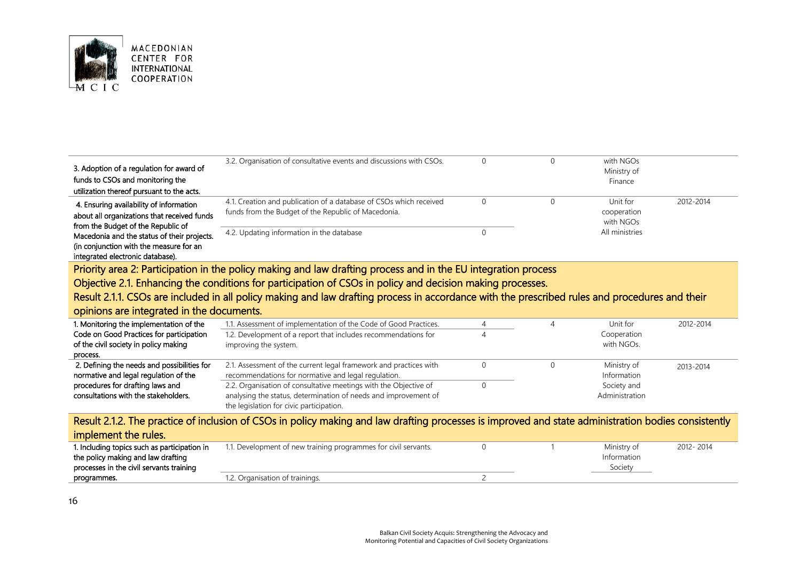

| 3. Adoption of a regulation for award of<br>funds to CSOs and monitoring the                                                                                              | 3.2. Organisation of consultative events and discussions with CSOs.                                                                                                             |                |   | with NGOs<br>Ministry of<br>Finance  |           |
|---------------------------------------------------------------------------------------------------------------------------------------------------------------------------|---------------------------------------------------------------------------------------------------------------------------------------------------------------------------------|----------------|---|--------------------------------------|-----------|
| utilization thereof pursuant to the acts.<br>4. Ensuring availability of information<br>about all organizations that received funds<br>from the Budget of the Republic of | 4.1. Creation and publication of a database of CSOs which received<br>funds from the Budget of the Republic of Macedonia.                                                       | $\Omega$       | 0 | Unit for<br>cooperation<br>with NGOs | 2012-2014 |
| Macedonia and the status of their projects.<br>(in conjunction with the measure for an<br>integrated electronic database).                                                | 4.2. Updating information in the database                                                                                                                                       | $\mathbf{0}$   |   | All ministries                       |           |
|                                                                                                                                                                           | Priority area 2: Participation in the policy making and law drafting process and in the EU integration process                                                                  |                |   |                                      |           |
|                                                                                                                                                                           | Objective 2.1. Enhancing the conditions for participation of CSOs in policy and decision making processes.                                                                      |                |   |                                      |           |
|                                                                                                                                                                           |                                                                                                                                                                                 |                |   |                                      |           |
|                                                                                                                                                                           | Result 2.1.1. CSOs are included in all policy making and law drafting process in accordance with the prescribed rules and procedures and their                                  |                |   |                                      |           |
| opinions are integrated in the documents.                                                                                                                                 |                                                                                                                                                                                 |                |   |                                      |           |
| 1. Monitoring the implementation of the                                                                                                                                   | 1.1. Assessment of implementation of the Code of Good Practices.                                                                                                                | $\overline{4}$ | 4 | Unit for                             | 2012-2014 |
| Code on Good Practices for participation<br>of the civil society in policy making<br>process.                                                                             | 1.2. Development of a report that includes recommendations for<br>improving the system.                                                                                         | 4              |   | Cooperation<br>with NGOs.            |           |
| 2. Defining the needs and possibilities for<br>normative and legal regulation of the                                                                                      | 2.1. Assessment of the current legal framework and practices with<br>recommendations for normative and legal regulation.                                                        | $\Omega$       | 0 | Ministry of<br>Information           | 2013-2014 |
| procedures for drafting laws and<br>consultations with the stakeholders.                                                                                                  | 2.2. Organisation of consultative meetings with the Objective of<br>analysing the status, determination of needs and improvement of<br>the legislation for civic participation. | $\Omega$       |   | Society and<br>Administration        |           |

| Result 2.1.2. The practice of inclusion of CSOs in policy making and law drafting processes is improved and state administration bodies consistently |                                                                 |  |  |             |           |  |  |
|------------------------------------------------------------------------------------------------------------------------------------------------------|-----------------------------------------------------------------|--|--|-------------|-----------|--|--|
| implement the rules.                                                                                                                                 |                                                                 |  |  |             |           |  |  |
| 1. Including topics such as participation in                                                                                                         | 1.1. Development of new training programmes for civil servants. |  |  | Ministry of | 2012-2014 |  |  |
| the policy making and law drafting                                                                                                                   |                                                                 |  |  | Information |           |  |  |
| processes in the civil servants training                                                                                                             |                                                                 |  |  | Society     |           |  |  |
| programmes.                                                                                                                                          | 1.2. Organisation of trainings.                                 |  |  |             |           |  |  |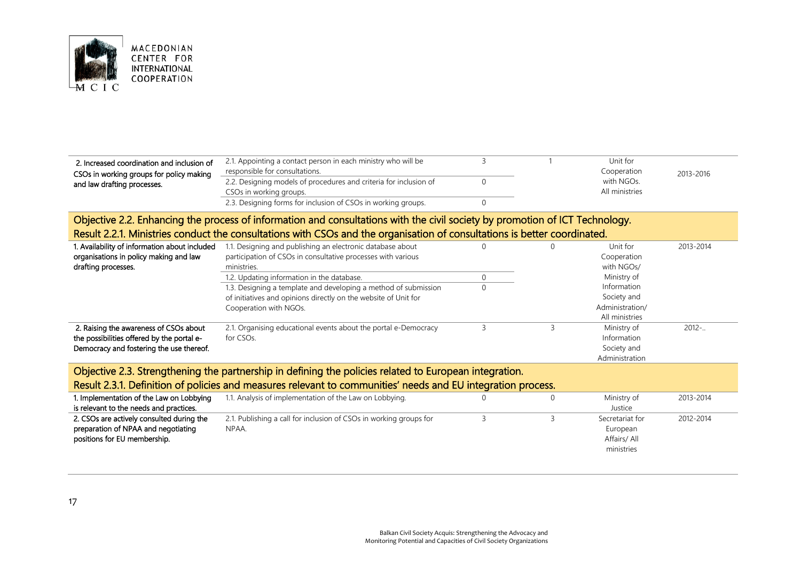

| 2. Increased coordination and inclusion of<br>CSOs in working groups for policy making<br>and law drafting processes.                                                                                                                                     | 2.1. Appointing a contact person in each ministry who will be<br>responsible for consultations.<br>2.2. Designing models of procedures and criteria for inclusion of<br>CSOs in working groups.<br>2.3. Designing forms for inclusion of CSOs in working groups.                                                                                        | 3<br>$\Omega$<br>$\mathbf{0}$       |              | Unit for<br>Cooperation<br>with NGOs.<br>All ministries                                                                 | 2013-2016  |  |  |  |
|-----------------------------------------------------------------------------------------------------------------------------------------------------------------------------------------------------------------------------------------------------------|---------------------------------------------------------------------------------------------------------------------------------------------------------------------------------------------------------------------------------------------------------------------------------------------------------------------------------------------------------|-------------------------------------|--------------|-------------------------------------------------------------------------------------------------------------------------|------------|--|--|--|
| Objective 2.2. Enhancing the process of information and consultations with the civil society by promotion of ICT Technology.<br>Result 2.2.1. Ministries conduct the consultations with CSOs and the organisation of consultations is better coordinated. |                                                                                                                                                                                                                                                                                                                                                         |                                     |              |                                                                                                                         |            |  |  |  |
| 1. Availability of information about included<br>organisations in policy making and law<br>drafting processes.                                                                                                                                            | 1.1. Designing and publishing an electronic database about<br>participation of CSOs in consultative processes with various<br>ministries.<br>1.2. Updating information in the database.<br>1.3. Designing a template and developing a method of submission<br>of initiatives and opinions directly on the website of Unit for<br>Cooperation with NGOs. | $\Omega$<br>$\mathbf 0$<br>$\Omega$ |              | Unit for<br>Cooperation<br>with NGOs/<br>Ministry of<br>Information<br>Society and<br>Administration/<br>All ministries | 2013-2014  |  |  |  |
| 2. Raising the awareness of CSOs about<br>the possibilities offered by the portal e-<br>Democracy and fostering the use thereof.                                                                                                                          | 2.1. Organising educational events about the portal e-Democracy<br>for CSOs.                                                                                                                                                                                                                                                                            | 3                                   | 3            | Ministry of<br>Information<br>Society and<br>Administration                                                             | $2012 - .$ |  |  |  |
| Objective 2.3. Strengthening the partnership in defining the policies related to European integration.<br>Result 2.3.1. Definition of policies and measures relevant to communities' needs and EU integration process.                                    |                                                                                                                                                                                                                                                                                                                                                         |                                     |              |                                                                                                                         |            |  |  |  |
| 1. Implementation of the Law on Lobbying<br>is relevant to the needs and practices.                                                                                                                                                                       | 1.1. Analysis of implementation of the Law on Lobbying.                                                                                                                                                                                                                                                                                                 |                                     | $\mathbf{0}$ | Ministry of<br>Justice                                                                                                  | 2013-2014  |  |  |  |
| 2. CSOs are actively consulted during the<br>preparation of NPAA and negotiating<br>positions for EU membership.                                                                                                                                          | 2.1. Publishing a call for inclusion of CSOs in working groups for<br>NPAA.                                                                                                                                                                                                                                                                             | 3                                   | 3            | Secretariat for<br>European<br>Affairs/ All<br>ministries                                                               | 2012-2014  |  |  |  |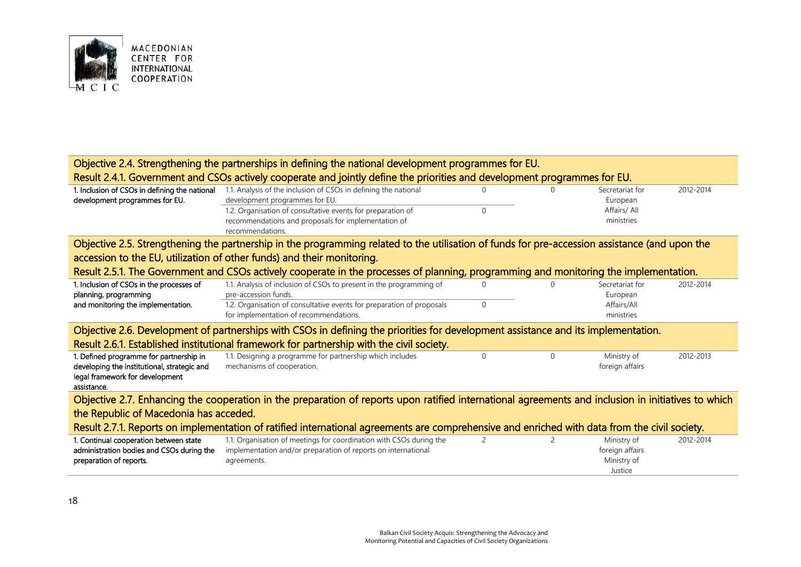

|                                                                                                                                    | Objective 2.4. Strengthening the partnerships in defining the national development programmes for EU.                                               |          |               |                 |           |  |  |  |
|------------------------------------------------------------------------------------------------------------------------------------|-----------------------------------------------------------------------------------------------------------------------------------------------------|----------|---------------|-----------------|-----------|--|--|--|
|                                                                                                                                    | Result 2.4.1. Government and CSOs actively cooperate and jointly define the priorities and development programmes for EU.                           |          |               |                 |           |  |  |  |
| 1. Inclusion of CSOs in defining the national                                                                                      | 1.1. Analysis of the inclusion of CSOs in defining the national                                                                                     |          |               | Secretariat for | 2012-2014 |  |  |  |
| development programmes for EU.                                                                                                     | development programmes for EU.                                                                                                                      |          |               | European        |           |  |  |  |
|                                                                                                                                    | 1.2. Organisation of consultative events for preparation of                                                                                         | $\Omega$ |               | Affairs/ All    |           |  |  |  |
|                                                                                                                                    | recommendations and proposals for implementation of                                                                                                 |          |               | ministries      |           |  |  |  |
|                                                                                                                                    | recommendations.                                                                                                                                    |          |               |                 |           |  |  |  |
|                                                                                                                                    | Objective 2.5. Strengthening the partnership in the programming related to the utilisation of funds for pre-accession assistance (and upon the      |          |               |                 |           |  |  |  |
|                                                                                                                                    | accession to the EU, utilization of other funds) and their monitoring.                                                                              |          |               |                 |           |  |  |  |
|                                                                                                                                    | Result 2.5.1. The Government and CSOs actively cooperate in the processes of planning, programming and monitoring the implementation.               |          |               |                 |           |  |  |  |
| 1. Inclusion of CSOs in the processes of                                                                                           | 1.1. Analysis of inclusion of CSOs to present in the programming of                                                                                 | $\Omega$ | $\Omega$      | Secretariat for | 2012-2014 |  |  |  |
| planning, programming                                                                                                              | pre-accession funds.                                                                                                                                |          |               | European        |           |  |  |  |
| and monitoring the implementation.                                                                                                 | 1.2. Organisation of consultative events for preparation of proposals                                                                               | $\Omega$ |               | Affairs/All     |           |  |  |  |
|                                                                                                                                    | for implementation of recommendations.                                                                                                              |          |               | ministries      |           |  |  |  |
| Objective 2.6. Development of partnerships with CSOs in defining the priorities for development assistance and its implementation. |                                                                                                                                                     |          |               |                 |           |  |  |  |
|                                                                                                                                    | Result 2.6.1. Established institutional framework for partnership with the civil society.                                                           |          |               |                 |           |  |  |  |
| 1. Defined programme for partnership in                                                                                            | 1.1. Designing a programme for partnership which includes                                                                                           | $\Omega$ | $\Omega$      | Ministry of     | 2012-2013 |  |  |  |
| developing the institutional, strategic and                                                                                        | mechanisms of cooperation.                                                                                                                          |          |               | foreign affairs |           |  |  |  |
| legal framework for development                                                                                                    |                                                                                                                                                     |          |               |                 |           |  |  |  |
| assistance.                                                                                                                        |                                                                                                                                                     |          |               |                 |           |  |  |  |
|                                                                                                                                    | Objective 2.7. Enhancing the cooperation in the preparation of reports upon ratified international agreements and inclusion in initiatives to which |          |               |                 |           |  |  |  |
| the Republic of Macedonia has acceded.                                                                                             |                                                                                                                                                     |          |               |                 |           |  |  |  |
|                                                                                                                                    | Result 2.7.1. Reports on implementation of ratified international agreements are comprehensive and enriched with data from the civil society.       |          |               |                 |           |  |  |  |
| 1. Continual cooperation between state                                                                                             | 1.1. Organisation of meetings for coordination with CSOs during the                                                                                 | 2        | $\mathcal{P}$ | Ministry of     | 2012-2014 |  |  |  |
| administration bodies and CSOs during the                                                                                          | implementation and/or preparation of reports on international                                                                                       |          |               | foreign affairs |           |  |  |  |
| preparation of reports.                                                                                                            | agreements.                                                                                                                                         |          |               | Ministry of     |           |  |  |  |
|                                                                                                                                    |                                                                                                                                                     |          |               | Justice         |           |  |  |  |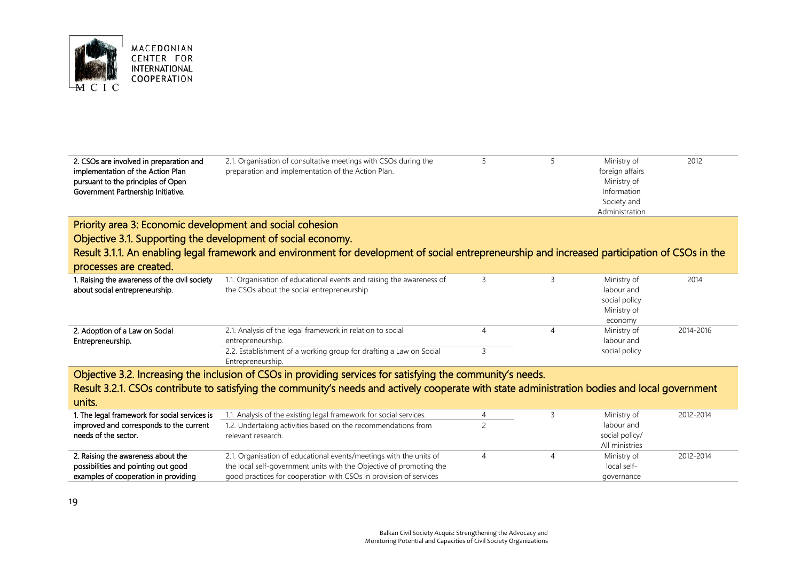

| 2. CSOs are involved in preparation and<br>implementation of the Action Plan<br>pursuant to the principles of Open<br>Government Partnership Initiative. | 2.1. Organisation of consultative meetings with CSOs during the<br>preparation and implementation of the Action Plan.                           |                | 5              | Ministry of<br>foreign affairs<br>Ministry of<br>Information<br>Society and<br>Administration | 2012      |
|----------------------------------------------------------------------------------------------------------------------------------------------------------|-------------------------------------------------------------------------------------------------------------------------------------------------|----------------|----------------|-----------------------------------------------------------------------------------------------|-----------|
| Priority area 3: Economic development and social cohesion                                                                                                |                                                                                                                                                 |                |                |                                                                                               |           |
| Objective 3.1. Supporting the development of social economy.                                                                                             |                                                                                                                                                 |                |                |                                                                                               |           |
|                                                                                                                                                          | Result 3.1.1. An enabling legal framework and environment for development of social entrepreneurship and increased participation of CSOs in the |                |                |                                                                                               |           |
| processes are created.                                                                                                                                   |                                                                                                                                                 |                |                |                                                                                               |           |
| 1. Raising the awareness of the civil society<br>about social entrepreneurship.                                                                          | 1.1. Organisation of educational events and raising the awareness of<br>the CSOs about the social entrepreneurship                              | 3              | 3              | Ministry of<br>labour and<br>social policy<br>Ministry of<br>economy                          | 2014      |
| 2. Adoption of a Law on Social<br>Entrepreneurship.                                                                                                      | 2.1. Analysis of the legal framework in relation to social<br>entrepreneurship.                                                                 | $\overline{4}$ | $\overline{4}$ | Ministry of<br>labour and                                                                     | 2014-2016 |
|                                                                                                                                                          | 2.2. Establishment of a working group for drafting a Law on Social<br>Entrepreneurship.                                                         | 3              |                | social policy                                                                                 |           |
|                                                                                                                                                          | Objective 3.2. Increasing the inclusion of CSOs in providing services for satisfying the community's needs.                                     |                |                |                                                                                               |           |
| units.                                                                                                                                                   | Result 3.2.1. CSOs contribute to satisfying the community's needs and actively cooperate with state administration bodies and local government  |                |                |                                                                                               |           |
| 1. The legal framework for social services is                                                                                                            | 1.1. Analysis of the existing legal framework for social services.                                                                              | 4              | 3              | Ministry of                                                                                   | 2012-2014 |
| improved and corresponds to the current<br>needs of the sector.                                                                                          | 1.2. Undertaking activities based on the recommendations from<br>relevant research.                                                             | $\overline{c}$ |                | labour and<br>social policy/<br>All ministries                                                |           |
|                                                                                                                                                          |                                                                                                                                                 |                |                |                                                                                               |           |

|                                      |                                                                     |  | All ministries |           |
|--------------------------------------|---------------------------------------------------------------------|--|----------------|-----------|
| 2. Raising the awareness about the   | 2.1. Organisation of educational events/meetings with the units of  |  | Ministry of    | 2012-2014 |
| possibilities and pointing out good  | the local self-government units with the Objective of promoting the |  | local self-    |           |
| examples of cooperation in providing | good practices for cooperation with CSOs in provision of services   |  | aovernance     |           |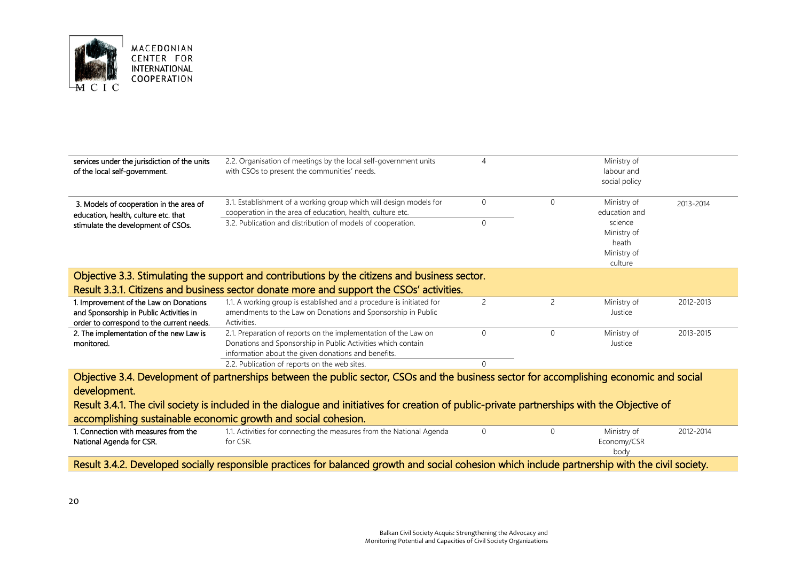

| 2.2. Organisation of meetings by the local self-government units<br>with CSOs to present the communities' needs.                                                                       |   |                                                                                                                                                                                           | Ministry of<br>labour and<br>social policy     |           |
|----------------------------------------------------------------------------------------------------------------------------------------------------------------------------------------|---|-------------------------------------------------------------------------------------------------------------------------------------------------------------------------------------------|------------------------------------------------|-----------|
| 3.1. Establishment of a working group which will design models for<br>cooperation in the area of education, health, culture etc.                                                       | 0 | $\Omega$                                                                                                                                                                                  | Ministry of<br>education and                   | 2013-2014 |
| 3.2. Publication and distribution of models of cooperation.                                                                                                                            | 0 |                                                                                                                                                                                           | science<br>Ministry of<br>heath<br>Ministry of |           |
|                                                                                                                                                                                        |   |                                                                                                                                                                                           |                                                |           |
|                                                                                                                                                                                        |   |                                                                                                                                                                                           |                                                |           |
| 1.1. A working group is established and a procedure is initiated for<br>amendments to the Law on Donations and Sponsorship in Public<br>Activities.                                    | 2 | 2                                                                                                                                                                                         | Ministry of<br>Justice                         | 2012-2013 |
| 2.1. Preparation of reports on the implementation of the Law on<br>Donations and Sponsorship in Public Activities which contain<br>information about the given donations and benefits. | 0 | $\Omega$                                                                                                                                                                                  | Ministry of<br>Justice                         | 2013-2015 |
| 2.2. Publication of reports on the web sites.                                                                                                                                          | 0 |                                                                                                                                                                                           |                                                |           |
|                                                                                                                                                                                        |   | Objective 3.3. Stimulating the support and contributions by the citizens and business sector.<br>Result 3.3.1. Citizens and business sector donate more and support the CSOs' activities. |                                                | culture   |

Result 3.4.1. The civil society is included in the dialogue and initiatives for creation of public-private partnerships with the Objective of accomplishing sustainable economic growth and social cohesion.

| l. Connection with measures from the | 1. Activities for connecting the measures from the National Agenda |             | Ministry of | 2012-2014 |
|--------------------------------------|--------------------------------------------------------------------|-------------|-------------|-----------|
| National Agenda for CSR.             | for CSR.                                                           | Economy/CSR |             |           |
|                                      |                                                                    |             | body        |           |
|                                      |                                                                    |             |             |           |

Result 3.4.2. Developed socially responsible practices for balanced growth and social cohesion which include partnership with the civil society.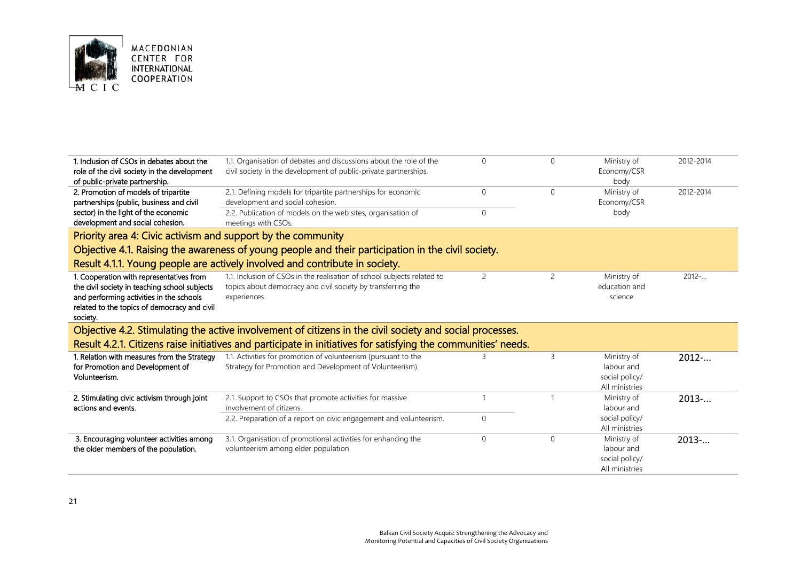

| 1. Inclusion of CSOs in debates about the<br>role of the civil society in the development<br>of public-private partnership.                                                                       | 1.1. Organisation of debates and discussions about the role of the<br>civil society in the development of public-private partnerships.                            | $\Omega$                     | $\Omega$       | Ministry of<br>Economy/CSR<br>body                            | 2012-2014 |
|---------------------------------------------------------------------------------------------------------------------------------------------------------------------------------------------------|-------------------------------------------------------------------------------------------------------------------------------------------------------------------|------------------------------|----------------|---------------------------------------------------------------|-----------|
| 2. Promotion of models of tripartite<br>partnerships (public, business and civil<br>sector) in the light of the economic                                                                          | 2.1. Defining models for tripartite partnerships for economic<br>development and social cohesion.<br>2.2. Publication of models on the web sites, organisation of | $\mathbf{0}$<br>$\mathbf{0}$ | $\mathbf{0}$   | Ministry of<br>Economy/CSR<br>body                            | 2012-2014 |
| development and social cohesion.                                                                                                                                                                  | meetings with CSOs.                                                                                                                                               |                              |                |                                                               |           |
| Priority area 4: Civic activism and support by the community                                                                                                                                      |                                                                                                                                                                   |                              |                |                                                               |           |
|                                                                                                                                                                                                   | Objective 4.1. Raising the awareness of young people and their participation in the civil society.                                                                |                              |                |                                                               |           |
|                                                                                                                                                                                                   | Result 4.1.1. Young people are actively involved and contribute in society.                                                                                       |                              |                |                                                               |           |
| 1. Cooperation with representatives from<br>the civil society in teaching school subjects<br>and performing activities in the schools<br>related to the topics of democracy and civil<br>society. | 1.1. Inclusion of CSOs in the realisation of school subjects related to<br>topics about democracy and civil society by transferring the<br>experiences.           | $\overline{c}$               | $\overline{2}$ | Ministry of<br>education and<br>science                       | $2012 - $ |
|                                                                                                                                                                                                   | Objective 4.2. Stimulating the active involvement of citizens in the civil society and social processes.                                                          |                              |                |                                                               |           |
|                                                                                                                                                                                                   | Result 4.2.1. Citizens raise initiatives and participate in initiatives for satisfying the communities' needs.                                                    |                              |                |                                                               |           |
| 1. Relation with measures from the Strategy<br>for Promotion and Development of<br>Volunteerism.                                                                                                  | 1.1. Activities for promotion of volunteerism (pursuant to the<br>Strategy for Promotion and Development of Volunteerism).                                        | $\overline{3}$               | 3              | Ministry of<br>labour and<br>social policy/<br>All ministries | 2012      |
| 2. Stimulating civic activism through joint<br>actions and events.                                                                                                                                | 2.1. Support to CSOs that promote activities for massive<br>involvement of citizens.                                                                              | $\mathbf{1}$                 | $\mathbf{1}$   | Ministry of<br>labour and                                     | 2013      |
|                                                                                                                                                                                                   | 2.2. Preparation of a report on civic engagement and volunteerism.                                                                                                | $\mathbf{0}$                 |                | social policy/<br>All ministries                              |           |
| 3. Encouraging volunteer activities among<br>the older members of the population.                                                                                                                 | 3.1. Organisation of promotional activities for enhancing the<br>volunteerism among elder population                                                              | $\mathbf{0}$                 | $\mathbf{0}$   | Ministry of<br>labour and                                     | $2013-.$  |

social policy/ All ministries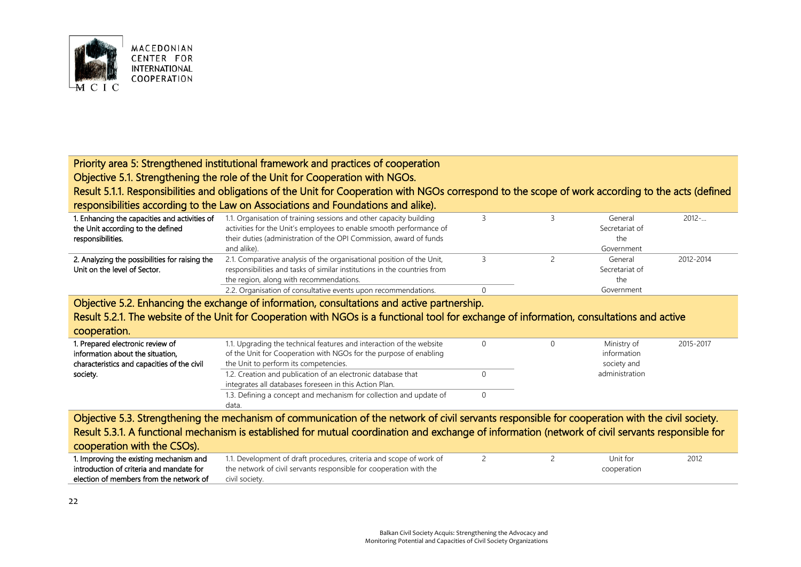

#### MACEDONIAN CENTER FOR **INTERNATIONAL** COOPERATION

# Priority area 5: Strengthened institutional framework and practices of cooperation

Objective 5.1. Strengthening the role of the Unit for Cooperation with NGOs.

Result 5.1.1. Responsibilities and obligations of the Unit for Cooperation with NGOs correspond to the scope of work according to the acts (defined responsibilities according to the Law on Associations and Foundations and alike).

| 1. Enhancing the capacities and activities of  | 1.1. Organisation of training sessions and other capacity building       |                | General    | 2012-     |
|------------------------------------------------|--------------------------------------------------------------------------|----------------|------------|-----------|
| the Unit according to the defined              | activities for the Unit's employees to enable smooth performance of      | Secretariat of |            |           |
| responsibilities.                              | their duties (administration of the OPI Commission, award of funds       | the            |            |           |
|                                                | and alike).                                                              |                | Government |           |
| 2. Analyzing the possibilities for raising the | 2.1. Comparative analysis of the organisational position of the Unit,    |                | General    | 2012-2014 |
| Unit on the level of Sector.                   | responsibilities and tasks of similar institutions in the countries from | Secretariat of |            |           |
|                                                | the region, along with recommendations.                                  | the            |            |           |
|                                                | 2.2. Organisation of consultative events upon recommendations.           |                | Government |           |

Objective 5.2. Enhancing the exchange of information, consultations and active partnership.

## Result 5.2.1. The website of the Unit for Cooperation with NGOs is a functional tool for exchange of information, consultations and active

| cooperation.                                                                                                        |                                                                                                                                                                                    |  |                                           |           |
|---------------------------------------------------------------------------------------------------------------------|------------------------------------------------------------------------------------------------------------------------------------------------------------------------------------|--|-------------------------------------------|-----------|
| 1. Prepared electronic review of<br>information about the situation,<br>characteristics and capacities of the civil | 1.1. Upgrading the technical features and interaction of the website<br>of the Unit for Cooperation with NGOs for the purpose of enabling<br>the Unit to perform its competencies. |  | Ministry of<br>information<br>society and | 2015-2017 |
| society.                                                                                                            | 1.2. Creation and publication of an electronic database that<br>integrates all databases foreseen in this Action Plan.                                                             |  | administration                            |           |
|                                                                                                                     | 1.3. Defining a concept and mechanism for collection and update of<br>data.                                                                                                        |  |                                           |           |

Objective 5.3. Strengthening the mechanism of communication of the network of civil servants responsible for cooperation with the civil society. Result 5.3.1. A functional mechanism is established for mutual coordination and exchange of information (network of civil servants responsible for cooperation with the CSOs).

| 1. Improving the existing mechanism and  | 1.1. Development of draft procedures, criteria and scope of work of |             |  | Unit for | 2012 |
|------------------------------------------|---------------------------------------------------------------------|-------------|--|----------|------|
| introduction of criteria and mandate for | the network of civil servants responsible for cooperation with the  | cooperation |  |          |      |
| election of members from the network of  | civil societv.                                                      |             |  |          |      |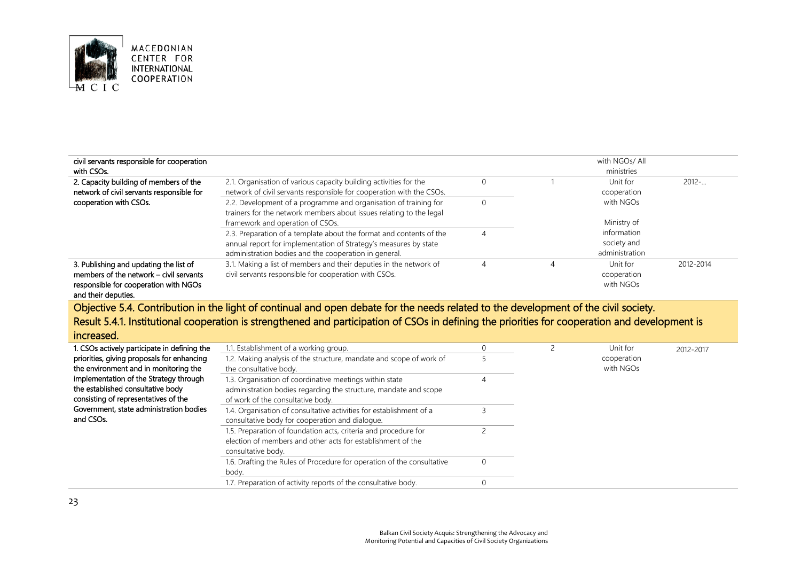

| civil servants responsible for cooperation |                                                                      |   |            | with NGOs/ All |           |  |
|--------------------------------------------|----------------------------------------------------------------------|---|------------|----------------|-----------|--|
| with CSOs.                                 |                                                                      |   | ministries |                |           |  |
| 2. Capacity building of members of the     | 2.1. Organisation of various capacity building activities for the    |   |            | Unit for       | $2012-$   |  |
| network of civil servants responsible for  | network of civil servants responsible for cooperation with the CSOs. |   |            | cooperation    |           |  |
| cooperation with CSOs.                     | 2.2. Development of a programme and organisation of training for     |   |            | with NGOs      |           |  |
|                                            | trainers for the network members about issues relating to the legal  |   |            |                |           |  |
|                                            | framework and operation of CSOs.                                     |   |            | Ministry of    |           |  |
|                                            | 2.3. Preparation of a template about the format and contents of the  |   |            | information    |           |  |
|                                            | annual report for implementation of Strategy's measures by state     |   |            | society and    |           |  |
|                                            | administration bodies and the cooperation in general.                |   |            | administration |           |  |
| 3. Publishing and updating the list of     | 3.1. Making a list of members and their deputies in the network of   | Δ |            | Unit for       | 2012-2014 |  |
| members of the network – civil servants    | civil servants responsible for cooperation with CSOs.                |   |            | cooperation    |           |  |
| responsible for cooperation with NGOs      |                                                                      |   |            | with NGOs      |           |  |
|                                            |                                                                      |   |            |                |           |  |

and their deputies.

Objective 5.4. Contribution in the light of continual and open debate for the needs related to the development of the civil society. Result 5.4.1. Institutional cooperation is strengthened and participation of CSOs in defining the priorities for cooperation and development is

## increased.

| 1. CSOs actively participate in defining the | 1.1. Establishment of a working group.                                 |  | Unit for    | 2012-2017 |
|----------------------------------------------|------------------------------------------------------------------------|--|-------------|-----------|
| priorities, giving proposals for enhancing   | 1.2. Making analysis of the structure, mandate and scope of work of    |  | cooperation |           |
| the environment and in monitoring the        | the consultative body.                                                 |  | with NGOs   |           |
| implementation of the Strategy through       | 1.3. Organisation of coordinative meetings within state                |  |             |           |
| the established consultative body            | administration bodies regarding the structure, mandate and scope       |  |             |           |
| consisting of representatives of the         | of work of the consultative body.                                      |  |             |           |
| Government, state administration bodies      | 1.4. Organisation of consultative activities for establishment of a    |  |             |           |
| and CSOs.                                    | consultative body for cooperation and dialogue.                        |  |             |           |
|                                              | 1.5. Preparation of foundation acts, criteria and procedure for        |  |             |           |
|                                              | election of members and other acts for establishment of the            |  |             |           |
|                                              | consultative body.                                                     |  |             |           |
|                                              | 1.6. Drafting the Rules of Procedure for operation of the consultative |  |             |           |
|                                              | body.                                                                  |  |             |           |
|                                              | 1.7. Preparation of activity reports of the consultative body.         |  |             |           |